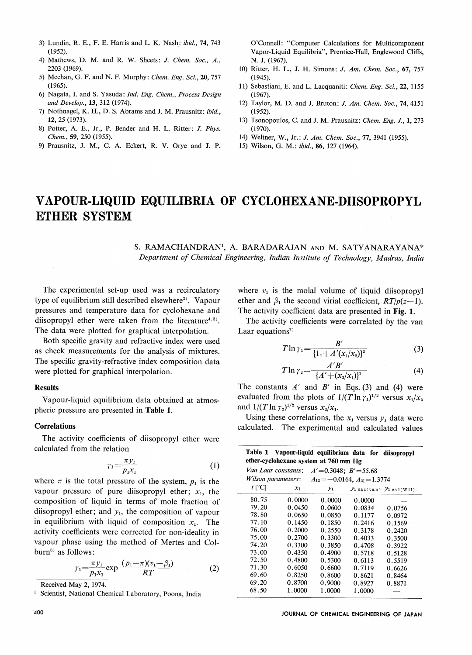- 3) Lundin, R. E., F. E. Harris and L. K. Nash: ibid., 74, <sup>743</sup> (1952).
- 4) Mathews, D. M. and R. W. Sheets: J. Chem. Soc., A., 2203 (1969).
- 5) Meehan, G. F. and N. F. Murphy: Chem. Eng. Sci., 20, 757 (1965).
- 6) Nagata, I. and S. Yasuda: Ind. Eng. Chem., Process Design and Develop., 13, <sup>312</sup> (1974).
- 7) Nothnagel, K. H., D. S. Abrams and J. M. Prausnitz: ibid., 12, 25 (1973).
- 8) Potter, A. E., Jr., P. Bender and H. L. Ritter: /. Phys. Chem., 59, 250 (1955).
- 9) Prausnitz, J. M., C. A. Eckert, R. V. Orye and J. P.

O'Connell: "Computer Calculations for Multicomponent Vapor-Liquid Equilibria", Prentice-Hall, Englewood Cliffs, N. J. (1967).

- 10) Ritter, H. L., J. H. Simons: /. Am. Chem. Soc, 67, 757 (1945).
- 11) Sebastiani, E. and L. Lacquaniti: Chem. Eng. Sci., 22, 1155 (1967).
- 12) Taylor, M. D. and J. Bruton: *J. Am. Chem. Soc.*, 74, 4151 (1952).
- 13) Tsonopoulos, C. and J. M. Prausnitz: Chem. Eng. J., 1, 273 (1970).
- 14) Weltner, W., Jr.: J. Am. Chem. Soc., 77, 3941 (1955).
- 15) Wilson, G. M.: ibid., 86, <sup>127</sup> (1964).

# VAPOUR-LIQUID EQUILIBRIA OF CYCLOHEXANE-DIISOPROPYL ETHER SYSTEM

S. RAMACHANDRAN1, A. BARADARAJAN and M. SATYANARAYANA\* Department of Chemical Engineering, Indian Institute of Technology, Madras, India

The experimental set-up used was a recirculatory type of equilibrium still described elsewhere<sup>2)</sup>. Vapour pressures and temperature data for cyclohexane and diisopropyl ether were taken from the literature $4,5$ . The data were plotted for graphical interpolation.

Both specific gravity and refractive index were used as check measurements for the analysis of mixtures. The specific gravity-refractive index composition data were plotted for graphical interpolation.

### Results

#### Correlations

$$
\gamma_1 = \frac{\pi y_1}{p_1 x_1} \tag{1}
$$

$$
\gamma_1 = \frac{\pi y_1}{p_1 x_1} \exp \frac{(p_1 - \pi)(v_1 - \beta_1)}{RT} \tag{2}
$$

where  $v_1$  is the molal volume of liquid diisopropyl ether and  $\beta_1$  the second virial coefficient,  $RT/p(z-1)$ . The activity coefficient data are presented in Fig. 1.

The activity coefficients were correlated by the van Laar equations<sup> $7)$ </sup>

$$
T \ln \gamma_1 = \frac{B'}{\{1_1 + A'(x_1/x_2)\}^2}
$$
 (3)

$$
T \ln \gamma_2 = \frac{A'B'}{\{A'+(x_2/x_1)\}^2} \tag{4}
$$

evaluated from the plots of  $1/(T \ln \gamma_1)^{1/2}$  versus  $x_1/x_2$ and  $1/(T \ln \gamma_2)^{1/2}$  versus  $x_2/x_1$ .

| pheric pressure are presented in Table 1.                                              | evaluated from the plots of $1/(T \ln \gamma_1)^{1/2}$ versus $x_1/x_2$<br>and $1/(T \ln \gamma_2)^{1/2}$ versus $x_2/x_1$ .<br>Using these correlations, the $x_1$ versus $y_1$ data were |                  |                                                        |                               |                  |
|----------------------------------------------------------------------------------------|--------------------------------------------------------------------------------------------------------------------------------------------------------------------------------------------|------------------|--------------------------------------------------------|-------------------------------|------------------|
| <b>Correlations</b>                                                                    | calculated. The experimental and calculated values                                                                                                                                         |                  |                                                        |                               |                  |
| The activity coefficients of diisopropyl ether were<br>calculated from the relation    |                                                                                                                                                                                            |                  | Table 1 Vapour-liquid equilibrium data for diisopropyl |                               |                  |
| $\gamma_1 = \frac{\pi y_1}{p_1 x_1}$<br>(1)                                            |                                                                                                                                                                                            |                  | ether-cyclohexane system at 760 mm Hg                  |                               |                  |
|                                                                                        |                                                                                                                                                                                            |                  | Van Laar constants: $A' = 0.3048$ ; $B' = 55.68$       |                               |                  |
| where $\pi$ is the total pressure of the system, $p_1$ is the                          | Wilson parameters:                                                                                                                                                                         |                  | $A_{12} = -0.0164, A_{21} = 1.3774$                    |                               |                  |
| vapour pressure of pure diisopropyl ether; $x_1$ , the                                 | $t$ [°C]                                                                                                                                                                                   | $x_1$            | $y_1$                                                  | $y_1$ cal(van) $y_1$ cal(Wil) |                  |
| composition of liquid in terms of mole fraction of                                     | 80.75                                                                                                                                                                                      | 0.0000           | 0.0000                                                 | 0.0000                        |                  |
|                                                                                        | 79.20                                                                                                                                                                                      | 0.0450           | 0.0600                                                 | 0.0834                        | 0.0756           |
| diisopropyl ether; and $y_1$ , the composition of vapour                               | 78.80                                                                                                                                                                                      | 0.0650           | 0.0850                                                 | 0.1177                        | 0.0972           |
| in equilibrium with liquid of composition $x_1$ . The                                  | 77.10                                                                                                                                                                                      | 0.1450           | 0.1850                                                 | 0.2416                        | 0.1569           |
| activity coefficients were corrected for non-ideality in                               | 76.00                                                                                                                                                                                      | 0.2000           | 0.2550                                                 | 0.3178                        | 0.2420           |
| vapour phase using the method of Mertes and Col-                                       | 75.00                                                                                                                                                                                      | 0.2700           | 0.3300                                                 | 0.4033                        | 0.3500           |
|                                                                                        | 74.20                                                                                                                                                                                      | 0.3300           | 0.3850                                                 | 0.4708                        | 0.3922           |
| burn <sup>6)</sup> as follows:                                                         | 73.00<br>72.50                                                                                                                                                                             | 0.4350           | 0.4900                                                 | 0.5718                        | 0.5128           |
|                                                                                        | 71.30                                                                                                                                                                                      | 0.4800<br>0.6050 | 0.5300<br>0.6600                                       | 0.6113<br>0.7119              | 0.5519           |
| $\gamma_1 = \frac{\pi y_1}{p_1 x_1} \exp \frac{(p_1 - \pi)(v_1 - \beta_1)}{RT}$<br>(2) | 69.60                                                                                                                                                                                      | 0.8250           | 0.8600                                                 | 0.8621                        | 0.6626<br>0.8464 |
| Received May 2, 1974.                                                                  | 69.20                                                                                                                                                                                      | 0.8700           | 0.9000                                                 | 0.8927                        | 0.8871           |
| Scientist, National Chemical Laboratory, Poona, India<br>$\mathbf{1}$                  | 68.50                                                                                                                                                                                      | 1.0000           | 1,0000                                                 | 1.0000                        |                  |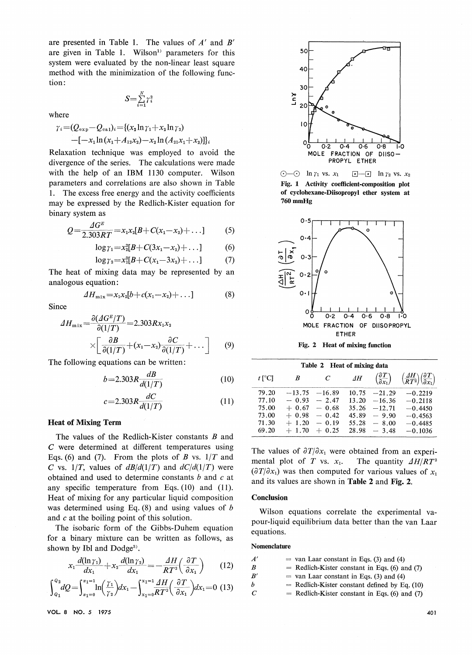are presented in Table 1. The values of  $A'$  and  $B'$ are given in Table 1. Wilson<sup>1)</sup> parameters for this system were evaluated by the non-linear least square method with the minimization of the following function:

 $\ddot{\phantom{0}}$  $\alpha = 1$ 

where

$$
\gamma_i = (Q_{\exp} - Q_{\exp})_i = \{(x_2 \ln \gamma_1 + x_2 \ln \gamma_2) -[-x_1 \ln (x_1 + A_{12}x_2) - x_2 \ln (A_{21}x_1 + X_{2})]\}_i
$$

Relaxation technique was employed to avoid the divergence of the series. The calculations were made with the help of an IBM <sup>1130</sup> computer. Wilson parameters and correlations are also shown in Table 1. The excess free energy and the activity coefficients may be expressed by the Redlich-Kister equation for binary system as

$$
Q = \frac{AG^E}{2.303RT} = x_1 x_2 [B + C(x_1 - x_2) + \dots]
$$
 (5)

$$
\log \gamma_1 = x_2^2[B + C(3x_1 - x_2) + \dots] \tag{6}
$$

$$
\log \gamma_2 = x_1^2[B + C(x_1 - 3x_2) + \dots] \tag{7}
$$

The heat of mixing data may be represented by an analogous equation :

$$
\mathcal{A}H_{\text{mix}}=x_1x_2[b+c(x_1-x_2)+\ldots] \hspace{1cm} (8) \hspace{1cm} (9)
$$

Since

$$
\Delta H_{\text{mix}} = \frac{\partial (AG^E/T)}{\partial (1/T)} = 2.303 R x_1 x_2
$$

$$
\times \left[ \frac{\partial B}{\partial (1/T)} + (x_1 - x_2) \frac{\partial C}{\partial (1/T)} + \dots \right] \tag{9}
$$

The following equations can be written :

$$
b = 2.303R \frac{dB}{d(1/T)}
$$
 (10)

$$
c = 2.303R \frac{dC}{d(1/T)}
$$
 (11)

#### **Heat of Mixing Term**

The values of the Redlich-Kister constants B and C were determined at different temperatures using Eqs. (6) and (7). From the plots of B vs.  $1/T$  and C vs.  $1/T$ , values of  $dB/d(1/T)$  and  $dC/d(1/T)$  were obtained and used to determine constants b and c at obtained and used to determine constants b and c at any specific temperature from Eqs. (10) and (11). Heat of mixing for any particular liquid composition was determined using Eq.  $(8)$  and using values of b and  $c$  at the boiling point of this solution.

The isobaric form of the Gibbs-Duhem equation for a binary mixture can be written as follows, as shown by Ibl and  $Dodge<sup>3</sup>$ .

$$
x_1 \frac{d(\ln \gamma_1)}{dx_1} + x_2 \frac{d(\ln \gamma_2)}{dx_1} = -\frac{AH}{RT^2} \left(\frac{\partial T}{\partial x_1}\right) \qquad (12)
$$

$$
\int_{Q_1}^{Q_2} dQ = \int_{x_1=0}^{x_1=1} \ln\left(\frac{\gamma_1}{\gamma_2}\right) dx_1 - \int_{x_1=0}^{x_1=1} \frac{\Delta H}{RT^2} \left(\frac{\partial T}{\partial x_1}\right) dx_1 = 0 \tag{13}
$$

VOL 6 NO. 5 1975 40







Fig. 2 Heat of mixing function

| Table 2 Heat of mixing data |          |                             |            |                                                |                                                                                  |
|-----------------------------|----------|-----------------------------|------------|------------------------------------------------|----------------------------------------------------------------------------------|
| $t \,$ [°C]                 | B        | $\mathcal{C}_{\mathcal{C}}$ | $\Delta H$ | $\left(\frac{\partial T}{\partial x_1}\right)$ | $\left(\frac{\Delta H}{RT^2}\right)\left(\frac{\partial T}{\partial x_1}\right)$ |
| 79.20                       | $-13.75$ | $-16.89$                    | 10.75      | $-21.29$                                       | $-0.2219$                                                                        |
| 77.10                       | $-0.93$  | $-2.47$                     | 13.20      | $-16.36$                                       | $-0.2118$                                                                        |
| 75.00                       | $+0.67$  | $-0.68$                     | 35.26      | $-12.71$                                       | $-0.4450$                                                                        |
| 73.00                       | $+0.98$  | $-0.42$                     | 45.89      | $-9.90$                                        | $-0.4563$                                                                        |
| 71.30                       | $+1.20$  | $= 0.19$                    | 55.28      | $-8.00$                                        | $-0.4485$                                                                        |
| 69.20                       | $+1.70$  | $+0.25$                     | 28.98      | $-3.48$                                        | $-0.1036$                                                                        |

The values of  $\partial T/\partial x_1$  were obtained from an experimental plot of T vs.  $x_1$ . The quantity  $\Delta H/RT^2$  $\left(\frac{\partial T}{\partial x_1}\right)$  was then computed for various values of  $x_1$ and its values are shown in Table <sup>2</sup> and Fig. 2.

#### **Conclusion**

Wilson equations correlate the experimental vawilson equations correlate the experimental va pour-liquid equilibrium data better than the van Laar equations.

| Nomenciature  |  |                                                 |  |  |
|---------------|--|-------------------------------------------------|--|--|
| A'            |  | $=$ van Laar constant in Eqs. (3) and (4)       |  |  |
| - R           |  | $=$ Redlich-Kister constant in Eqs. (6) and (7) |  |  |
| B'            |  | $=$ van Laar constant in Eqs. (3) and (4)       |  |  |
| h             |  | $=$ Redlich-Kister constant defined by Eq. (10) |  |  |
| $\mathcal{C}$ |  | $=$ Redlich-Kister constant in Eqs. (6) and (7) |  |  |